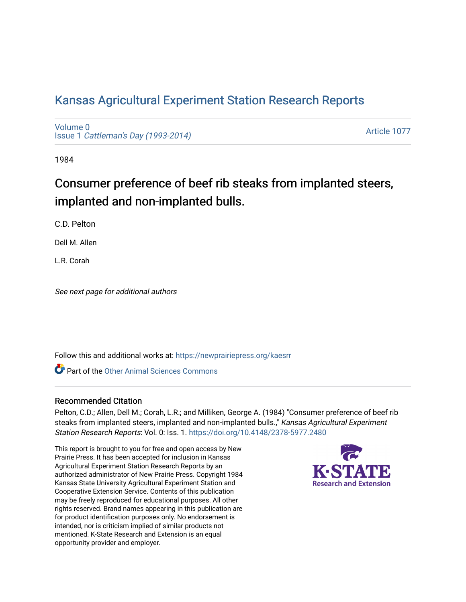# [Kansas Agricultural Experiment Station Research Reports](https://newprairiepress.org/kaesrr)

[Volume 0](https://newprairiepress.org/kaesrr/vol0) Issue 1 [Cattleman's Day \(1993-2014\)](https://newprairiepress.org/kaesrr/vol0/iss1) 

[Article 1077](https://newprairiepress.org/kaesrr/vol0/iss1/1077) 

1984

# Consumer preference of beef rib steaks from implanted steers, implanted and non-implanted bulls.

C.D. Pelton

Dell M. Allen

L.R. Corah

See next page for additional authors

Follow this and additional works at: [https://newprairiepress.org/kaesrr](https://newprairiepress.org/kaesrr?utm_source=newprairiepress.org%2Fkaesrr%2Fvol0%2Fiss1%2F1077&utm_medium=PDF&utm_campaign=PDFCoverPages) 

**C** Part of the [Other Animal Sciences Commons](http://network.bepress.com/hgg/discipline/82?utm_source=newprairiepress.org%2Fkaesrr%2Fvol0%2Fiss1%2F1077&utm_medium=PDF&utm_campaign=PDFCoverPages)

#### Recommended Citation

Pelton, C.D.; Allen, Dell M.; Corah, L.R.; and Milliken, George A. (1984) "Consumer preference of beef rib steaks from implanted steers, implanted and non-implanted bulls.," Kansas Agricultural Experiment Station Research Reports: Vol. 0: Iss. 1.<https://doi.org/10.4148/2378-5977.2480>

This report is brought to you for free and open access by New Prairie Press. It has been accepted for inclusion in Kansas Agricultural Experiment Station Research Reports by an authorized administrator of New Prairie Press. Copyright 1984 Kansas State University Agricultural Experiment Station and Cooperative Extension Service. Contents of this publication may be freely reproduced for educational purposes. All other rights reserved. Brand names appearing in this publication are for product identification purposes only. No endorsement is intended, nor is criticism implied of similar products not mentioned. K-State Research and Extension is an equal opportunity provider and employer.

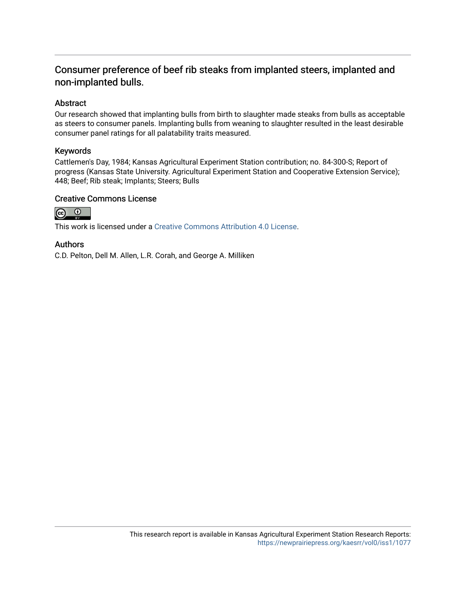### Consumer preference of beef rib steaks from implanted steers, implanted and non-implanted bulls.

#### Abstract

Our research showed that implanting bulls from birth to slaughter made steaks from bulls as acceptable as steers to consumer panels. Implanting bulls from weaning to slaughter resulted in the least desirable consumer panel ratings for all palatability traits measured.

#### Keywords

Cattlemen's Day, 1984; Kansas Agricultural Experiment Station contribution; no. 84-300-S; Report of progress (Kansas State University. Agricultural Experiment Station and Cooperative Extension Service); 448; Beef; Rib steak; Implants; Steers; Bulls

#### Creative Commons License



This work is licensed under a [Creative Commons Attribution 4.0 License](https://creativecommons.org/licenses/by/4.0/).

#### Authors

C.D. Pelton, Dell M. Allen, L.R. Corah, and George A. Milliken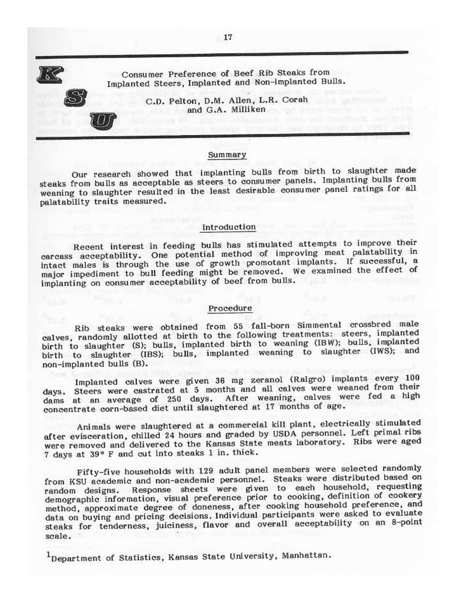Consumer Preference of Beef Rib Steaks from Implanted Steers, Implanted and Non-implanted Bulls.

> C.D. Pelton, D.M. Allen, L.R. Corah and G.A. Milliken

#### Summary

Our research showed that implanting bulls from birth to slaughter made steaks from bulls as acceptable as steers to consumer panels. Implanting bulls from weaning to slaughter resulted in the least desirable consumer panel ratings for all palatability traits measured.

#### Introduction

Recent interest in feeding bulls has stimulated attempts to improve their carcass acceptability. One potential method of improving meat palatability in intact males is through the use of growth promotant implants. If successful, a major impediment to bull feeding might be removed. We examined the effect of implanting on consumer acceptability of beef from bulls.

#### Procedure

Rib steaks were obtained from 55 fall-born Simmental crossbred male calves, randomly allotted at birth to the following treatments: steers, implanted birth to slaughter (S); bulls, implanted birth to weaning (IBW); bulls, implanted birth to slaughter (IBS); bulls, implanted weaning to slaughter (IWS); and non-implanted bulls (B).

Implanted calves were given 36 mg zeranol (Ralgro) implants every 100 days. Steers were castrated at 5 months and all calves were weaned from their dams at an average of 250 days. After weaning, calves were fed a high concentrate corn-based diet until slaughtered at 17 months of age.

Animals were slaughtered at a commercial kill plant, electrically stimulated after evisceration, chilled 24 hours and graded by USDA personnel. Left primal ribs were removed and delivered to the Kansas State meats laboratory. Ribs were aged 7 days at 39° F and cut into steaks 1 in. thick.

Fifty-five households with 129 adult panel members were selected randomly from KSU academic and non-academic personnel. Steaks were distributed based on random designs. Response sheets were given to each household, requesting demographic information, visual preference prior to cooking, definition of cookery method, approximate degree of doneness, after cooking household preference, and data on buying and pricing decisions. Individual participants were asked to evaluate steaks for tenderness, juiciness, flavor and overall acceptability on an 8-point scale.

<sup>1</sup>Department of Statistics, Kansas State University, Manhattan.